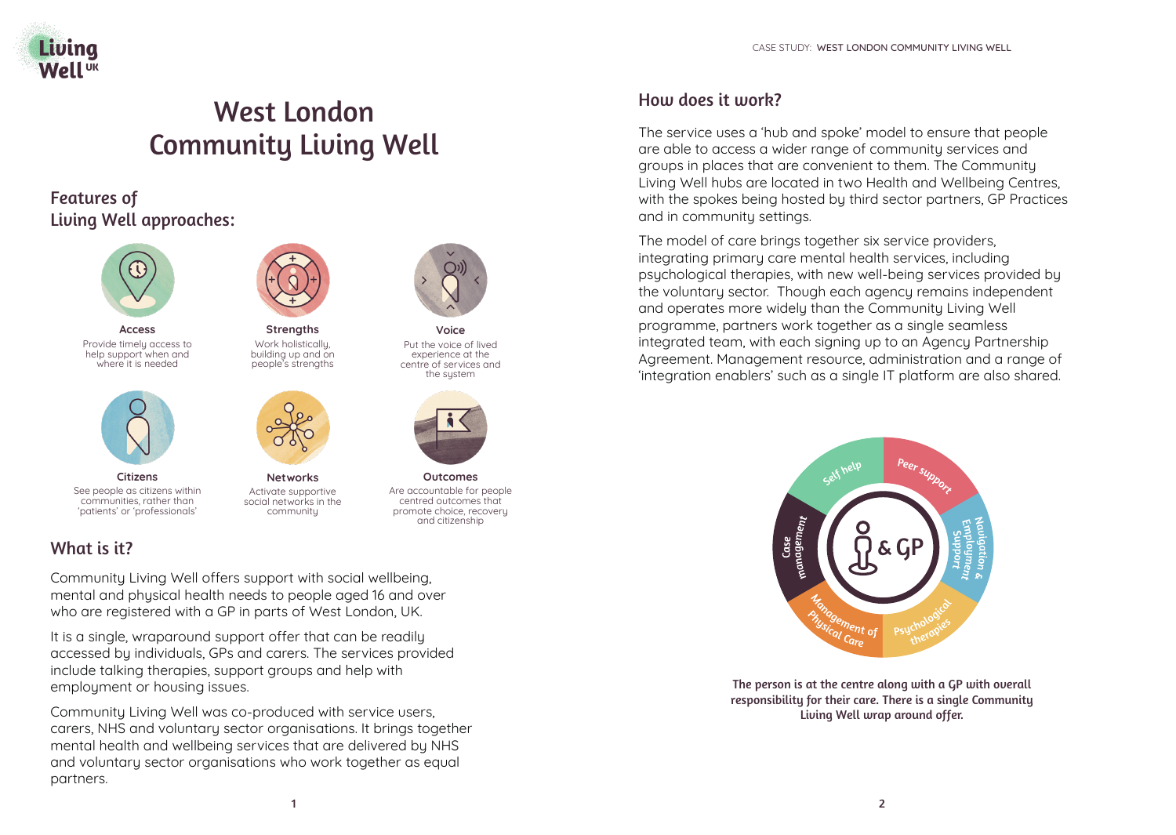

# West London Community Living Well

# Features of Living Well approaches:



**Access** Provide timely access to help support when and where it is needed



**Citizens** See people as citizens within communities, rather than 'patients' or 'professionals'



**Strengths** Work holistically, building up and on people's strengths



**Networks** Activate supportive social networks in the community



**Voice** Put the voice of lived experience at the centre of services and the sustem



**Outcomes** Are accountable for people centred outcomes that promote choice, recovery and citizenship

# What is it?

Community Living Well offers support with social wellbeing, mental and physical health needs to people aged 16 and over who are registered with a GP in parts of West London, UK.

It is a single, wraparound support offer that can be readily accessed by individuals, GPs and carers. The services provided include talking therapies, support groups and help with employment or housing issues.

Community Living Well was co-produced with service users, carers, NHS and voluntary sector organisations. It brings together mental health and wellbeing services that are delivered by NHS and voluntary sector organisations who work together as equal partners.

### How does it work?

The service uses a 'hub and spoke' model to ensure that people are able to access a wider range of community services and groups in places that are convenient to them. The Community Living Well hubs are located in two Health and Wellbeing Centres, with the spokes being hosted by third sector partners, GP Practices and in community settings.

The model of care brings together six service providers, integrating primary care mental health services, including psychological therapies, with new well-being services provided by the voluntary sector. Though each agency remains independent and operates more widely than the Community Living Well programme, partners work together as a single seamless integrated team, with each signing up to an Agency Partnership Agreement. Management resource, administration and a range of 'integration enablers' such as a single IT platform are also shared.



The person is at the centre along with a GP with overall responsibility for their care. There is a single Community Living Well wrap around offer.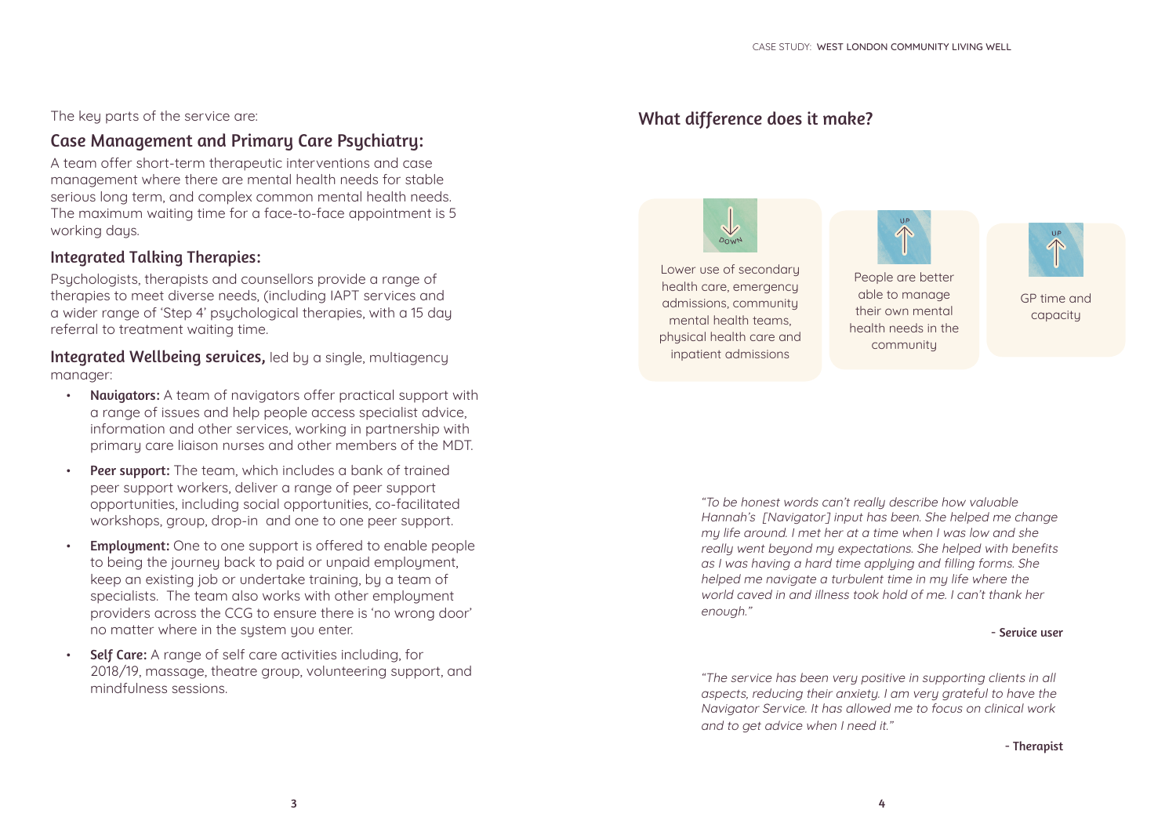#### The key parts of the service are:

### Case Management and Primary Care Psychiatry:

A team offer short-term therapeutic interventions and case management where there are mental health needs for stable serious long term, and complex common mental health needs. The maximum waiting time for a face-to-face appointment is 5 working days.

#### Integrated Talking Therapies:

Psuchologists, therapists and counsellors provide a range of therapies to meet diverse needs, (including IAPT services and a wider range of 'Step 4' psychological therapies, with a 15 day referral to treatment waiting time.

Integrated Wellbeing services, led by a single, multiagency manager:

- Navigators: A team of navigators offer practical support with a range of issues and help people access specialist advice, information and other services, working in partnership with primary care liaison nurses and other members of the MDT.
- **Peer support:** The team, which includes a bank of trained peer support workers, deliver a range of peer support opportunities, including social opportunities, co-facilitated workshops, group, drop-in and one to one peer support.
- **Employment:** One to one support is offered to enable people to being the journey back to paid or unpaid employment, keep an existing job or undertake training, by a team of specialists. The team also works with other employment providers across the CCG to ensure there is 'no wrong door' no matter where in the system you enter.
- Self Care: A range of self care activities including, for 2018/19, massage, theatre group, volunteering support, and mindfulness sessions.

### What difference does it make?







GP time and capacity

"To be honest words can't really describe how valuable Hannah's [Navigator] input has been. She helped me change my life around. I met her at a time when I was low and she really went beyond my expectations. She helped with benefits as I was having a hard time applying and filling forms. She helped me navigate a turbulent time in my life where the world caved in and illness took hold of me. I can't thank her enough."

#### - Service user

"The service has been very positive in supporting clients in all aspects, reducing their anxiety. I am very grateful to have the Navigator Service. It has allowed me to focus on clinical work and to get advice when I need it."

#### - Therapist